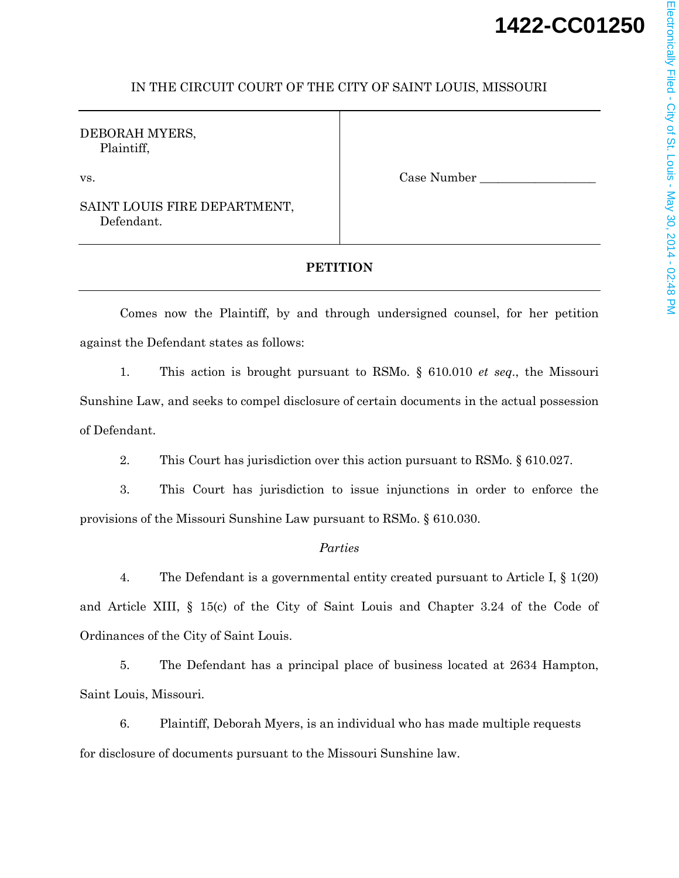# **1422-CC01250**

### IN THE CIRCUIT COURT OF THE CITY OF SAINT LOUIS, MISSOURI

DEBORAH MYERS, Plaintiff,

SAINT LOUIS FIRE DEPARTMENT, Defendant.

vs. The contraction of the contraction of the case Number  $\Box$  Case Number  $\Box$ 

## **PETITION**

Comes now the Plaintiff, by and through undersigned counsel, for her petition against the Defendant states as follows:

1. This action is brought pursuant to RSMo. § 610.010 *et seq*., the Missouri Sunshine Law, and seeks to compel disclosure of certain documents in the actual possession of Defendant.

2. This Court has jurisdiction over this action pursuant to RSMo. § 610.027.

3. This Court has jurisdiction to issue injunctions in order to enforce the provisions of the Missouri Sunshine Law pursuant to RSMo. § 610.030.

#### *Parties*

4. The Defendant is a governmental entity created pursuant to Article I, § 1(20) and Article XIII, § 15(c) of the City of Saint Louis and Chapter 3.24 of the Code of Ordinances of the City of Saint Louis.

5. The Defendant has a principal place of business located at 2634 Hampton, Saint Louis, Missouri.

6. Plaintiff, Deborah Myers, is an individual who has made multiple requests for disclosure of documents pursuant to the Missouri Sunshine law.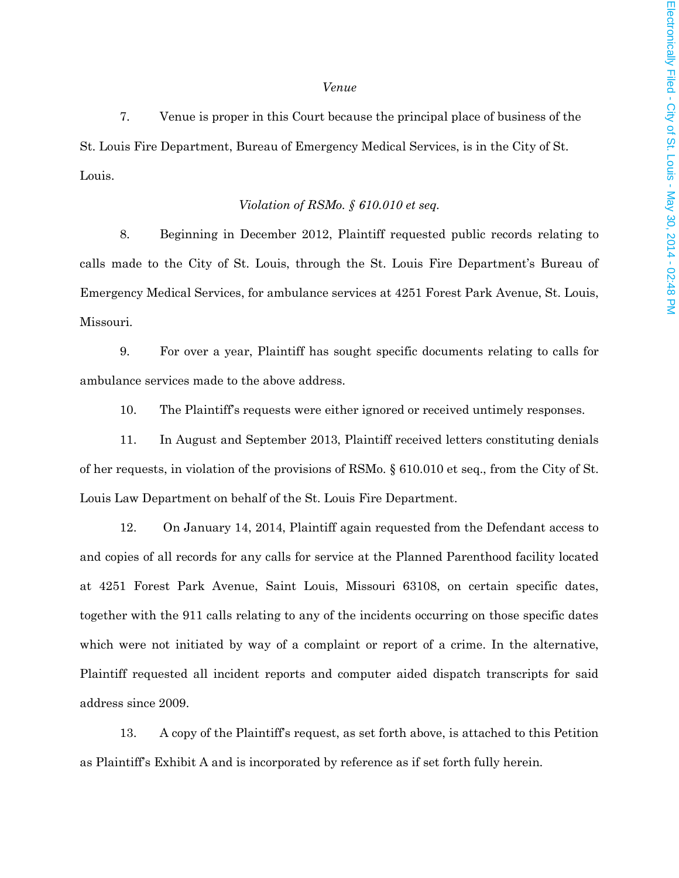#### *Venue*

7. Venue is proper in this Court because the principal place of business of the St. Louis Fire Department, Bureau of Emergency Medical Services, is in the City of St. Louis.

#### *Violation of RSMo. § 610.010 et seq.*

8. Beginning in December 2012, Plaintiff requested public records relating to calls made to the City of St. Louis, through the St. Louis Fire Department's Bureau of Emergency Medical Services, for ambulance services at 4251 Forest Park Avenue, St. Louis, Missouri.

9. For over a year, Plaintiff has sought specific documents relating to calls for ambulance services made to the above address.

10. The Plaintiff's requests were either ignored or received untimely responses.

11. In August and September 2013, Plaintiff received letters constituting denials of her requests, in violation of the provisions of RSMo. § 610.010 et seq., from the City of St. Louis Law Department on behalf of the St. Louis Fire Department.

12. On January 14, 2014, Plaintiff again requested from the Defendant access to and copies of all records for any calls for service at the Planned Parenthood facility located at 4251 Forest Park Avenue, Saint Louis, Missouri 63108, on certain specific dates, together with the 911 calls relating to any of the incidents occurring on those specific dates which were not initiated by way of a complaint or report of a crime. In the alternative, Plaintiff requested all incident reports and computer aided dispatch transcripts for said address since 2009.

13. A copy of the Plaintiff's request, as set forth above, is attached to this Petition as Plaintiff's Exhibit A and is incorporated by reference as if set forth fully herein.